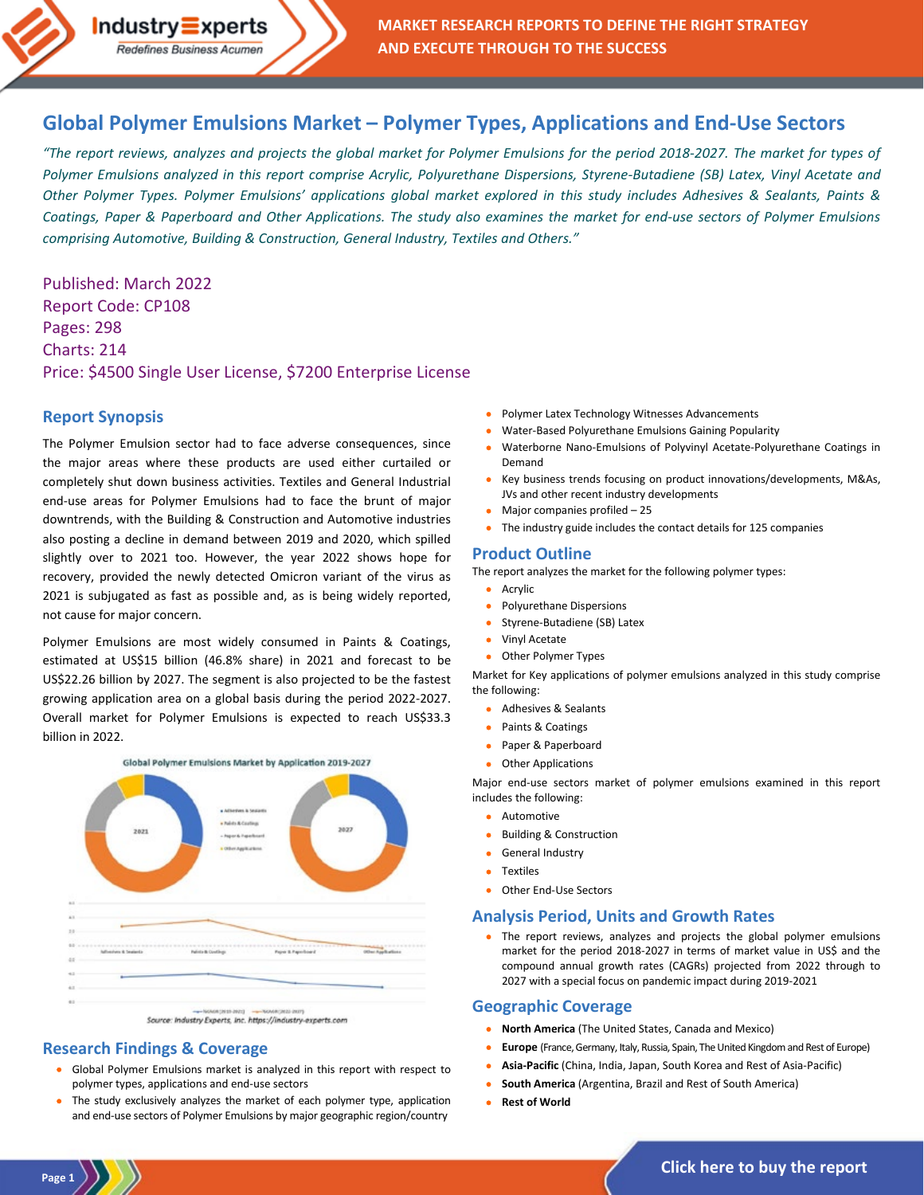

# **Global Polymer Emulsions Market – [Polymer Types, Applications and End-Use Sectors](https://industry-experts.com/verticals/chemicals-and-materials/global-polymer-emulsions-market)**

*"The report reviews, analyzes and projects the global market for Polymer Emulsions for the period 2018-2027. The market for types of Polymer Emulsions analyzed in this report comprise Acrylic, Polyurethane Dispersions, Styrene-Butadiene (SB) Latex, Vinyl Acetate and Other Polymer Types. Polymer Emulsions' applications global market explored in this study includes Adhesives & Sealants, Paints & Coatings, Paper & Paperboard and Other Applications. The study also examines the market for end-use sectors of Polymer Emulsions comprising Automotive, Building & Construction, General Industry, Textiles and Others."*

Published: March 2022 Report Code: CP108 Pages: 298 Charts: 214 Price: \$4500 Single User License, \$7200 Enterprise License

#### **Report Synopsis**

The Polymer Emulsion sector had to face adverse consequences, since the major areas where these products are used either curtailed or completely shut down business activities. Textiles and General Industrial end-use areas for Polymer Emulsions had to face the brunt of major downtrends, with the Building & Construction and Automotive industries also posting a decline in demand between 2019 and 2020, which spilled slightly over to 2021 too. However, the year 2022 shows hope for recovery, provided the newly detected Omicron variant of the virus as 2021 is subjugated as fast as possible and, as is being widely reported, not cause for major concern.

Polymer Emulsions are most widely consumed in Paints & Coatings, estimated at US\$15 billion (46.8% share) in 2021 and forecast to be US\$22.26 billion by 2027. The segment is also projected to be the fastest growing application area on a global basis during the period 2022-2027. Overall market for Polymer Emulsions is expected to reach US\$33.3 billion in 2022.



# **Research Findings & Coverage**

- Global Polymer Emulsions market is analyzed in this report with respect to polymer types, applications and end-use sectors
- The study exclusively analyzes the market of each polymer type, application and end-use sectors of Polymer Emulsions by major geographic region/country
- Polymer Latex Technology Witnesses Advancements
- Water-Based Polyurethane Emulsions Gaining Popularity
- Waterborne Nano-Emulsions of Polyvinyl Acetate-Polyurethane Coatings in Demand
- Key business trends focusing on product innovations/developments, M&As, JVs and other recent industry developments
- Major companies profiled 25
- The industry guide includes the contact details for 125 companies

#### **Product Outline**

The report analyzes the market for the following polymer types:

#### **Acrylic**

- Polyurethane Dispersions
- Styrene-Butadiene (SB) Latex
- Vinyl Acetate
- Other Polymer Types

Market for Key applications of polymer emulsions analyzed in this study comprise the following:

- Adhesives & Sealants
- Paints & Coatings
- Paper & Paperboard
- **Other Applications**

Major end-use sectors market of polymer emulsions examined in this report includes the following:

- **Automotive**
- Building & Construction
- General Industry
- Textiles
- Other End-Use Sectors

# **Analysis Period, Units and Growth Rates**

• The report reviews, analyzes and projects the global polymer emulsions market for the period 2018-2027 in terms of market value in US\$ and the compound annual growth rates (CAGRs) projected from 2022 through to 2027 with a special focus on pandemic impact during 2019-2021

# **Geographic Coverage**

- **North America** (The United States, Canada and Mexico)
- **Europe** (France, Germany, Italy, Russia, Spain, The United Kingdom and Rest of Europe)
- **Asia-Pacific** (China, India, Japan, South Korea and Rest of Asia-Pacific)
- **South America** (Argentina, Brazil and Rest of South America)
- **Rest of World**

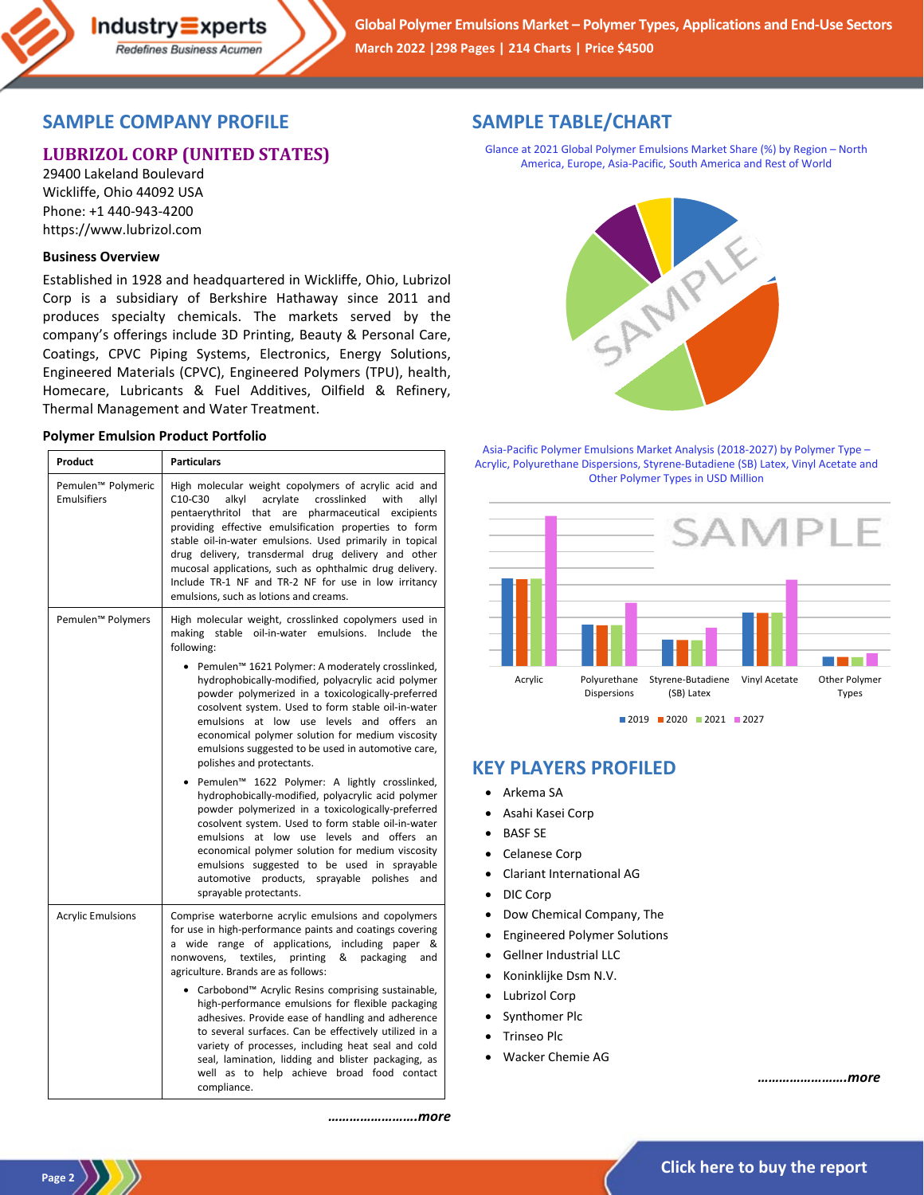

# **SAMPLE COMPANY PROFILE**

# **LUBRIZOL CORP (UNITED STATES)**

29400 Lakeland Boulevard Wickliffe, Ohio 44092 USA Phone: +1 440-943-4200 https://www.lubrizol.com

### **Business Overview**

Established in 1928 and headquartered in Wickliffe, Ohio, Lubrizol Corp is a subsidiary of Berkshire Hathaway since 2011 and produces specialty chemicals. The markets served by the company's offerings include 3D Printing, Beauty & Personal Care, Coatings, CPVC Piping Systems, Electronics, Energy Solutions, Engineered Materials (CPVC), Engineered Polymers (TPU), health, Homecare, Lubricants & Fuel Additives, Oilfield & Refinery, Thermal Management and Water Treatment.

#### **Polymer Emulsion Product Portfolio**

| Product                                  | <b>Particulars</b>                                                                                                                                                                                                                                                                                                                                                                                                                                                                                                                                                                                                                                                                                                                                                                                                                                                |
|------------------------------------------|-------------------------------------------------------------------------------------------------------------------------------------------------------------------------------------------------------------------------------------------------------------------------------------------------------------------------------------------------------------------------------------------------------------------------------------------------------------------------------------------------------------------------------------------------------------------------------------------------------------------------------------------------------------------------------------------------------------------------------------------------------------------------------------------------------------------------------------------------------------------|
| Pemulen™ Polymeric<br><b>Emulsifiers</b> | High molecular weight copolymers of acrylic acid and<br>C10-C30<br>alkyl<br>acrylate<br>crosslinked<br>with<br>allyl<br>pentaerythritol that are<br>pharmaceutical excipients<br>providing effective emulsification properties to form<br>stable oil-in-water emulsions. Used primarily in topical<br>drug delivery, transdermal drug delivery and other<br>mucosal applications, such as ophthalmic drug delivery.<br>Include TR-1 NF and TR-2 NF for use in low irritancy<br>emulsions, such as lotions and creams.                                                                                                                                                                                                                                                                                                                                             |
| Pemulen <sup>™</sup> Polymers            | High molecular weight, crosslinked copolymers used in<br>making stable oil-in-water emulsions.<br>Include the<br>following:                                                                                                                                                                                                                                                                                                                                                                                                                                                                                                                                                                                                                                                                                                                                       |
|                                          | Pemulen <sup>™</sup> 1621 Polymer: A moderately crosslinked,<br>hydrophobically-modified, polyacrylic acid polymer<br>powder polymerized in a toxicologically-preferred<br>cosolvent system. Used to form stable oil-in-water<br>emulsions at low use levels and offers an<br>economical polymer solution for medium viscosity<br>emulsions suggested to be used in automotive care,<br>polishes and protectants.<br>• Pemulen™ 1622 Polymer: A lightly crosslinked,<br>hydrophobically-modified, polyacrylic acid polymer<br>powder polymerized in a toxicologically-preferred<br>cosolvent system. Used to form stable oil-in-water<br>emulsions at low use levels and offers an<br>economical polymer solution for medium viscosity<br>emulsions suggested to be used in sprayable<br>automotive products, sprayable polishes<br>and<br>sprayable protectants. |
| <b>Acrylic Emulsions</b>                 | Comprise waterborne acrylic emulsions and copolymers<br>for use in high-performance paints and coatings covering<br>wide range of applications, including paper &<br>a<br>textiles,<br>printing<br>&<br>nonwovens,<br>packaging<br>and<br>agriculture. Brands are as follows:                                                                                                                                                                                                                                                                                                                                                                                                                                                                                                                                                                                     |
|                                          | • Carbobond <sup>™</sup> Acrylic Resins comprising sustainable,<br>high-performance emulsions for flexible packaging<br>adhesives. Provide ease of handling and adherence<br>to several surfaces. Can be effectively utilized in a<br>variety of processes, including heat seal and cold<br>seal, lamination, lidding and blister packaging, as<br>well as to help achieve broad food contact<br>compliance.                                                                                                                                                                                                                                                                                                                                                                                                                                                      |

# **SAMPLE TABLE/CHART**

Glance at 2021 Global Polymer Emulsions Market Share (%) by Region – North America, Europe, Asia-Pacific, South America and Rest of World



Asia-Pacific Polymer Emulsions Market Analysis (2018-2027) by Polymer Type – Acrylic, Polyurethane Dispersions, Styrene-Butadiene (SB) Latex, Vinyl Acetate and Other Polymer Types in USD Million



# **KEY PLAYERS PROFILED**

- Arkema SA
- Asahi Kasei Corp
- BASF SE
- Celanese Corp
- Clariant International AG
- DIC Corp
- Dow Chemical Company, The
- Engineered Polymer Solutions
- Gellner Industrial LLC
- Koninklijke Dsm N.V.
- Lubrizol Corp
- Synthomer Plc
- Trinseo Plc
- Wacker Chemie AG

*…………………….more*

*…………………….more*

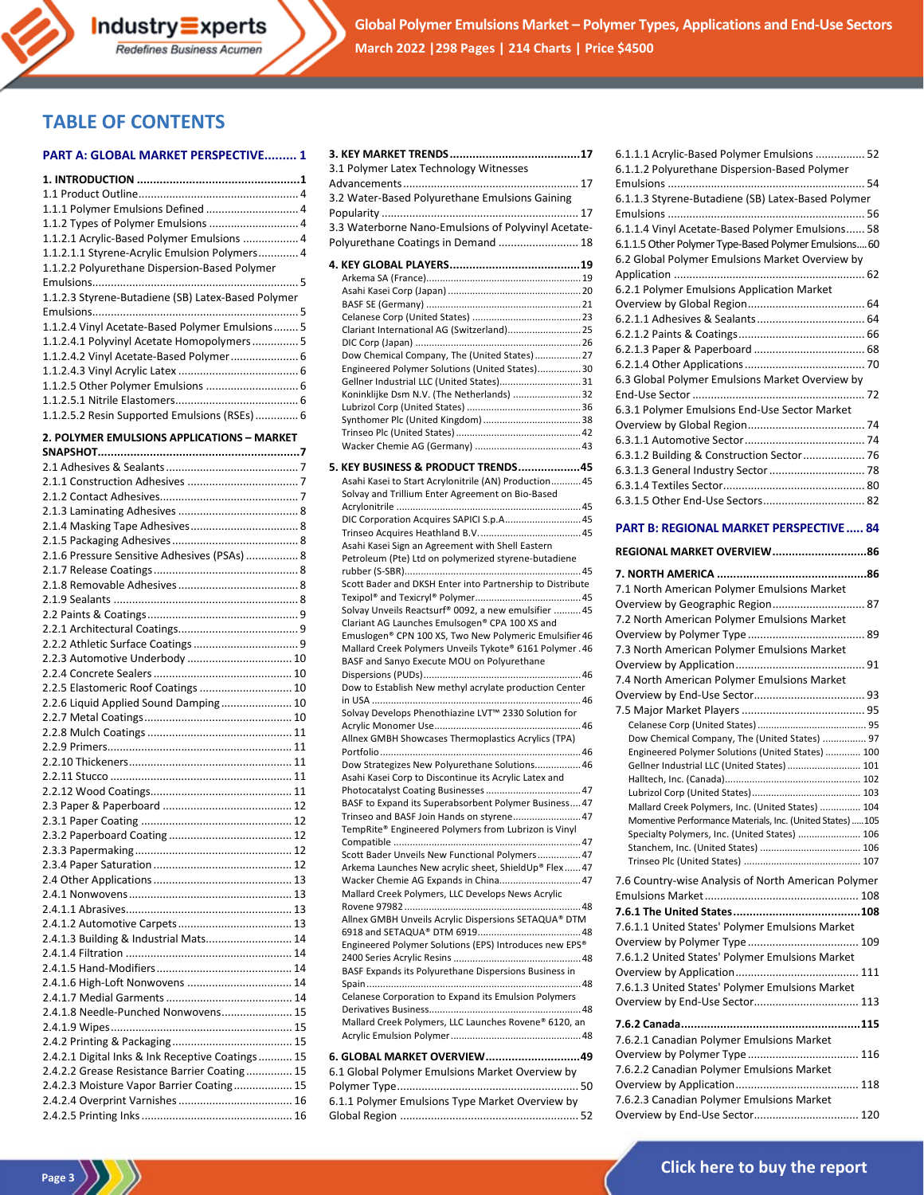

**Global Polymer Emulsions Market – Polymer Types, Applications and End-Use Sectors March 2022 |298 Pages | 214 Charts | Price \$4500**

# **TABLE OF CONTENTS**

#### **PART A: GLOBAL MARKET PERSPECTIVE......... 1**

Redefines Business Acumen

| 1.1.1 Polymer Emulsions Defined  4                 |
|----------------------------------------------------|
|                                                    |
| 1.1.2.1 Acrylic-Based Polymer Emulsions  4         |
|                                                    |
| 1.1.2.1.1 Styrene-Acrylic Emulsion Polymers 4      |
| 1.1.2.2 Polyurethane Dispersion-Based Polymer      |
|                                                    |
| 1.1.2.3 Styrene-Butadiene (SB) Latex-Based Polymer |
|                                                    |
|                                                    |
| 1.1.2.4 Vinyl Acetate-Based Polymer Emulsions 5    |
| 1.1.2.4.1 Polyvinyl Acetate Homopolymers 5         |
| 1.1.2.4.2 Vinyl Acetate-Based Polymer 6            |
|                                                    |
|                                                    |
|                                                    |
|                                                    |
| 1.1.2.5.2 Resin Supported Emulsions (RSEs) 6       |
| 2. POLYMER EMULSIONS APPLICATIONS - MARKET         |
|                                                    |
|                                                    |
|                                                    |
|                                                    |
|                                                    |
|                                                    |
|                                                    |
|                                                    |
|                                                    |
| 2.1.6 Pressure Sensitive Adhesives (PSAs)  8       |
|                                                    |
|                                                    |
|                                                    |
|                                                    |
|                                                    |
|                                                    |
|                                                    |
| 2.2.3 Automotive Underbody  10                     |
|                                                    |
| 2.2.5 Elastomeric Roof Coatings  10                |
| 2.2.6 Liquid Applied Sound Damping 10              |
|                                                    |
|                                                    |
|                                                    |
|                                                    |
|                                                    |
|                                                    |
|                                                    |
|                                                    |
|                                                    |
|                                                    |
|                                                    |
|                                                    |
|                                                    |
|                                                    |
|                                                    |
|                                                    |
|                                                    |
| 2.4.1.3 Building & Industrial Mats 14              |
|                                                    |
|                                                    |
|                                                    |
| 2.4.1.6 High-Loft Nonwovens  14                    |
|                                                    |
| 2.4.1.8 Needle-Punched Nonwovens 15                |
|                                                    |
|                                                    |
| 2.4.2.1 Digital Inks & Ink Receptive Coatings 15   |
|                                                    |
| 2.4.2.2 Grease Resistance Barrier Coating 15       |
| 2.4.2.3 Moisture Vapor Barrier Coating 15          |
|                                                    |
|                                                    |

Page 3

| 3.1 Polymer Latex Technology Witnesses                                                                   |  |
|----------------------------------------------------------------------------------------------------------|--|
|                                                                                                          |  |
| 3.2 Water-Based Polyurethane Emulsions Gaining                                                           |  |
|                                                                                                          |  |
| 3.3 Waterborne Nano-Emulsions of Polyvinyl Acetate-                                                      |  |
| Polyurethane Coatings in Demand  18                                                                      |  |
|                                                                                                          |  |
|                                                                                                          |  |
|                                                                                                          |  |
|                                                                                                          |  |
|                                                                                                          |  |
| Clariant International AG (Switzerland) 25                                                               |  |
| Dow Chemical Company, The (United States) 27                                                             |  |
| Engineered Polymer Solutions (United States) 30                                                          |  |
| Gellner Industrial LLC (United States) 31                                                                |  |
| Koninklijke Dsm N.V. (The Netherlands) 32                                                                |  |
|                                                                                                          |  |
|                                                                                                          |  |
|                                                                                                          |  |
|                                                                                                          |  |
| 5. KEY BUSINESS & PRODUCT TRENDS45                                                                       |  |
| Asahi Kasei to Start Acrylonitrile (AN) Production 45                                                    |  |
| Solvay and Trillium Enter Agreement on Bio-Based                                                         |  |
|                                                                                                          |  |
| DIC Corporation Acquires SAPICI S.p.A 45                                                                 |  |
| Asahi Kasei Sign an Agreement with Shell Eastern                                                         |  |
| Petroleum (Pte) Ltd on polymerized styrene-butadiene                                                     |  |
|                                                                                                          |  |
| Scott Bader and DKSH Enter into Partnership to Distribute                                                |  |
|                                                                                                          |  |
| Solvay Unveils Reactsurf® 0092, a new emulsifier  45                                                     |  |
| Clariant AG Launches Emulsogen® CPA 100 XS and<br>Emuslogen® CPN 100 XS, Two New Polymeric Emulsifier 46 |  |
| Mallard Creek Polymers Unveils Tykote® 6161 Polymer. 46                                                  |  |
| BASF and Sanyo Execute MOU on Polyurethane                                                               |  |
|                                                                                                          |  |
| Dow to Establish New methyl acrylate production Center                                                   |  |
|                                                                                                          |  |
| Solvay Develops Phenothiazine LVT™ 2330 Solution for                                                     |  |
| Allnex GMBH Showcases Thermoplastics Acrylics (TPA)                                                      |  |
|                                                                                                          |  |
| Dow Strategizes New Polyurethane Solutions 46                                                            |  |
| Asahi Kasei Corp to Discontinue its Acrylic Latex and                                                    |  |
|                                                                                                          |  |
| BASF to Expand its Superabsorbent Polymer Business 47                                                    |  |
| Trinseo and BASF Join Hands on styrene 47                                                                |  |
| TempRite® Engineered Polymers from Lubrizon is Vinyl                                                     |  |
| Scott Bader Unveils New Functional Polymers 47                                                           |  |
| Arkema Launches New acrylic sheet, ShieldUp® Flex 47                                                     |  |
| Wacker Chemie AG Expands in China 47                                                                     |  |
| Mallard Creek Polymers, LLC Develops News Acrylic                                                        |  |
| Allnex GMBH Unveils Acrylic Dispersions SETAQUA® DTM                                                     |  |
|                                                                                                          |  |
| Engineered Polymer Solutions (EPS) Introduces new EPS®                                                   |  |
|                                                                                                          |  |
| BASF Expands its Polyurethane Dispersions Business in                                                    |  |
|                                                                                                          |  |
| Celanese Corporation to Expand its Emulsion Polymers                                                     |  |
| Mallard Creek Polymers, LLC Launches Rovene® 6120, an                                                    |  |
|                                                                                                          |  |
|                                                                                                          |  |
| 6. GLOBAL MARKET OVERVIEW49                                                                              |  |
| 6.1 Global Polymer Emulsions Market Overview by                                                          |  |
|                                                                                                          |  |
| 6.1.1 Polymer Emulsions Type Market Overview by                                                          |  |
|                                                                                                          |  |

| 6.1.1.1 Acrylic-Based Polymer Emulsions  52           |
|-------------------------------------------------------|
| 6.1.1.2 Polyurethane Dispersion-Based Polymer         |
|                                                       |
| 6.1.1.3 Styrene-Butadiene (SB) Latex-Based Polymer    |
|                                                       |
| 6.1.1.4 Vinyl Acetate-Based Polymer Emulsions 58      |
| 6.1.1.5 Other Polymer Type-Based Polymer Emulsions 60 |
| 6.2 Global Polymer Emulsions Market Overview by       |
|                                                       |
| 6.2.1 Polymer Emulsions Application Market            |
|                                                       |
|                                                       |
|                                                       |
|                                                       |
|                                                       |
| 6.3 Global Polymer Emulsions Market Overview by       |
|                                                       |
| 6.3.1 Polymer Emulsions End-Use Sector Market         |
|                                                       |
|                                                       |
| 6.3.1.2 Building & Construction Sector 76             |
|                                                       |
|                                                       |
|                                                       |
|                                                       |

#### **PART B: REGIONAL MARKET PERSPECTIVE..... 84**

| REGIONAL MARKET OVERVIEW86                                |  |
|-----------------------------------------------------------|--|
|                                                           |  |
| 7.1 North American Polymer Emulsions Market               |  |
| Overview by Geographic Region 87                          |  |
| 7.2 North American Polymer Emulsions Market               |  |
|                                                           |  |
| 7.3 North American Polymer Emulsions Market               |  |
|                                                           |  |
| 7.4 North American Polymer Emulsions Market               |  |
|                                                           |  |
|                                                           |  |
|                                                           |  |
| Dow Chemical Company, The (United States)  97             |  |
| Engineered Polymer Solutions (United States)  100         |  |
| Gellner Industrial LLC (United States)  101               |  |
|                                                           |  |
| Mallard Creek Polymers, Inc. (United States)  104         |  |
| Momentive Performance Materials, Inc. (United States) 105 |  |
| Specialty Polymers, Inc. (United States)  106             |  |
|                                                           |  |
|                                                           |  |
| 7.6 Country-wise Analysis of North American Polymer       |  |
|                                                           |  |
|                                                           |  |
| 7.6.1.1 United States' Polymer Emulsions Market           |  |
|                                                           |  |
| 7.6.1.2 United States' Polymer Emulsions Market           |  |
|                                                           |  |
| 7.6.1.3 United States' Polymer Emulsions Market           |  |
| Overview by End-Use Sector 113                            |  |
|                                                           |  |
| 7.6.2.1 Canadian Polymer Emulsions Market                 |  |
|                                                           |  |
| 7.6.2.2 Canadian Polymer Emulsions Market                 |  |
|                                                           |  |
| 7.6.2.3 Canadian Polymer Emulsions Market                 |  |
| Overview by End-Use Sector 120                            |  |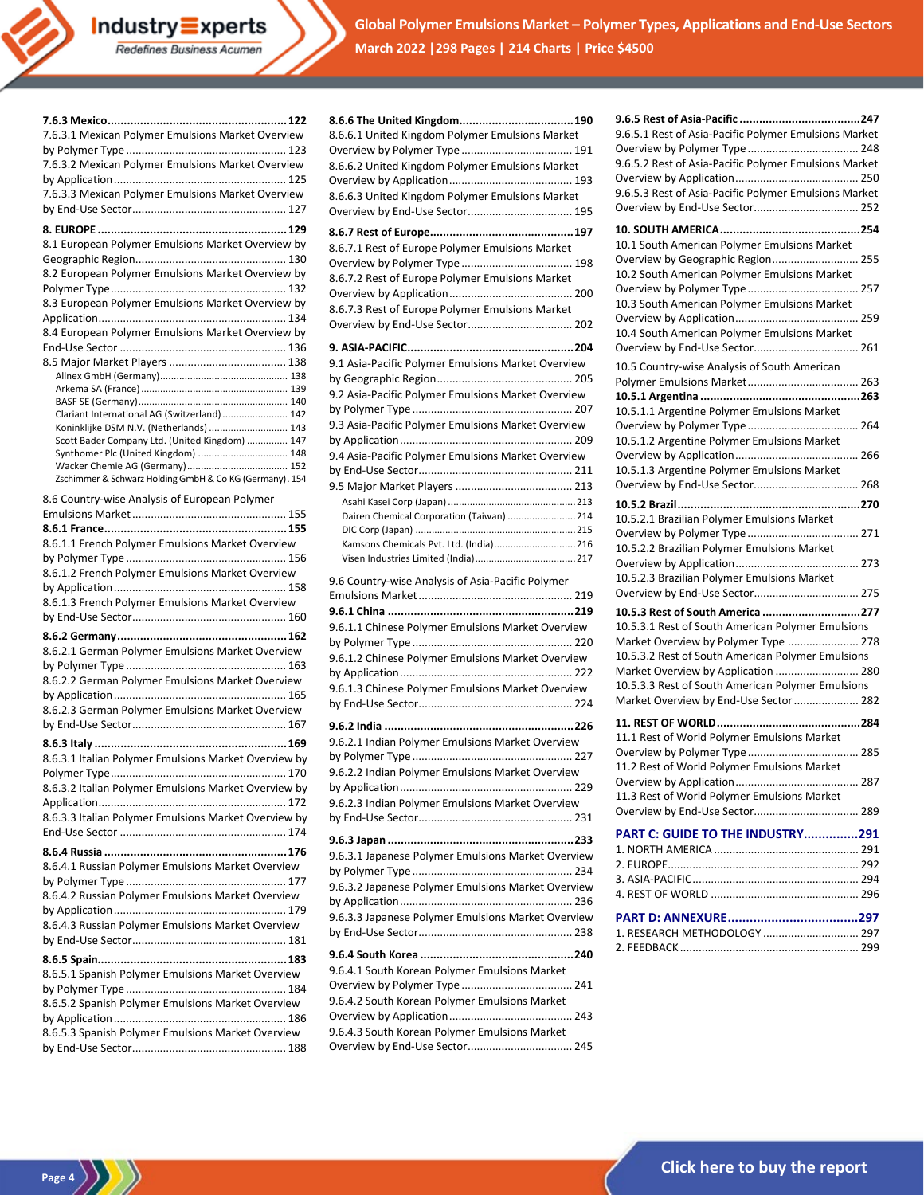Industry Experts Redefines Business Acumen

**Global Polymer Emulsions Market – Polymer Types, Applications and End-Use Sectors March 2022 |298 Pages | 214 Charts | Price \$4500**

| 7.6.3.1 Mexican Polymer Emulsions Market Overview       |
|---------------------------------------------------------|
|                                                         |
| 7.6.3.2 Mexican Polymer Emulsions Market Overview       |
|                                                         |
| 7.6.3.3 Mexican Polymer Emulsions Market Overview       |
|                                                         |
|                                                         |
| 8.1 European Polymer Emulsions Market Overview by       |
|                                                         |
| 8.2 European Polymer Emulsions Market Overview by       |
|                                                         |
| 8.3 European Polymer Emulsions Market Overview by       |
|                                                         |
| 8.4 European Polymer Emulsions Market Overview by       |
|                                                         |
|                                                         |
|                                                         |
|                                                         |
|                                                         |
| Clariant International AG (Switzerland)  142            |
| Koninklijke DSM N.V. (Netherlands)  143                 |
| Scott Bader Company Ltd. (United Kingdom)  147          |
| Synthomer Plc (United Kingdom)  148                     |
| Zschimmer & Schwarz Holding GmbH & Co KG (Germany). 154 |
|                                                         |
| 8.6 Country-wise Analysis of European Polymer           |
|                                                         |
| 8.6.1.1 French Polymer Emulsions Market Overview        |
|                                                         |
| 8.6.1.2 French Polymer Emulsions Market Overview        |
|                                                         |
|                                                         |
|                                                         |
| 8.6.1.3 French Polymer Emulsions Market Overview        |
|                                                         |
|                                                         |
| 8.6.2.1 German Polymer Emulsions Market Overview        |
|                                                         |
| 8.6.2.2 German Polymer Emulsions Market Overview        |
|                                                         |
| 8.6.2.3 German Polymer Emulsions Market Overview        |
|                                                         |
|                                                         |
| 8.6.3.1 Italian Polymer Emulsions Market Overview by    |
|                                                         |
| 8.6.3.2 Italian Polymer Emulsions Market Overview by    |
|                                                         |
| 8.6.3.3 Italian Polymer Emulsions Market Overview by    |
|                                                         |
|                                                         |
| 8.6.4.1 Russian Polymer Emulsions Market Overview       |
|                                                         |
|                                                         |
| 8.6.4.2 Russian Polymer Emulsions Market Overview       |
|                                                         |
| 8.6.4.3 Russian Polymer Emulsions Market Overview       |
|                                                         |
|                                                         |
| 8.6.5.1 Spanish Polymer Emulsions Market Overview       |
|                                                         |
| 8.6.5.2 Spanish Polymer Emulsions Market Overview       |
| 8.6.5.3 Spanish Polymer Emulsions Market Overview       |

Page 4  $\left\langle \frac{1}{2} \right\rangle$ 

| 8.6.6.1 United Kingdom Polymer Emulsions Market<br>8.6.6.2 United Kingdom Polymer Emulsions Market<br>8.6.6.3 United Kingdom Polymer Emulsions Market<br>Overview by End-Use Sector 195                                                                                                                      |
|--------------------------------------------------------------------------------------------------------------------------------------------------------------------------------------------------------------------------------------------------------------------------------------------------------------|
| 8.6.7.1 Rest of Europe Polymer Emulsions Market<br>8.6.7.2 Rest of Europe Polymer Emulsions Market<br>8.6.7.3 Rest of Europe Polymer Emulsions Market                                                                                                                                                        |
| 9.1 Asia-Pacific Polymer Emulsions Market Overview<br>9.2 Asia-Pacific Polymer Emulsions Market Overview<br>9.3 Asia-Pacific Polymer Emulsions Market Overview<br>9.4 Asia-Pacific Polymer Emulsions Market Overview<br>Dairen Chemical Corporation (Taiwan)  214<br>Kamsons Chemicals Pvt. Ltd. (India) 216 |
| 9.6 Country-wise Analysis of Asia-Pacific Polymer<br>9.6.1.1 Chinese Polymer Emulsions Market Overview<br>9.6.1.2 Chinese Polymer Emulsions Market Overview<br>9.6.1.3 Chinese Polymer Emulsions Market Overview                                                                                             |
| 9.6.2.1 Indian Polymer Emulsions Market Overview<br>9.6.2.2 Indian Polymer Emulsions Market Overview<br>9.6.2.3 Indian Polymer Emulsions Market Overview                                                                                                                                                     |
| 9.6.3.1 Japanese Polymer Emulsions Market Overview<br>9.6.3.2 Japanese Polymer Emulsions Market Overview<br>9.6.3.3 Japanese Polymer Emulsions Market Overview                                                                                                                                               |
| 9.6.4.1 South Korean Polymer Emulsions Market<br>9.6.4.2 South Korean Polymer Emulsions Market<br>9.6.4.3 South Korean Polymer Emulsions Market<br>Overview by End-Use Sector 245                                                                                                                            |

| 9.6.5.1 Rest of Asia-Pacific Polymer Emulsions Market<br>9.6.5.2 Rest of Asia-Pacific Polymer Emulsions Market<br>9.6.5.3 Rest of Asia-Pacific Polymer Emulsions Market<br>Overview by End-Use Sector 252                                                                                                                |
|--------------------------------------------------------------------------------------------------------------------------------------------------------------------------------------------------------------------------------------------------------------------------------------------------------------------------|
| 10.1 South American Polymer Emulsions Market<br>Overview by Geographic Region 255<br>10.2 South American Polymer Emulsions Market<br>10.3 South American Polymer Emulsions Market<br>10.4 South American Polymer Emulsions Market<br>Overview by End-Use Sector 261                                                      |
| 10.5 Country-wise Analysis of South American<br>10.5.1.1 Argentine Polymer Emulsions Market<br>10.5.1.2 Argentine Polymer Emulsions Market<br>10.5.1.3 Argentine Polymer Emulsions Market<br>Overview by End-Use Sector 268                                                                                              |
| 10.5.2.1 Brazilian Polymer Emulsions Market<br>10.5.2.2 Brazilian Polymer Emulsions Market<br>10.5.2.3 Brazilian Polymer Emulsions Market                                                                                                                                                                                |
| 10.5.3 Rest of South America 277<br>10.5.3.1 Rest of South American Polymer Emulsions<br>Market Overview by Polymer Type  278<br>10.5.3.2 Rest of South American Polymer Emulsions<br>Market Overview by Application  280<br>10.5.3.3 Rest of South American Polymer Emulsions<br>Market Overview by End-Use Sector  282 |
| 11.1 Rest of World Polymer Emulsions Market<br>11.2 Rest of World Polymer Emulsions Market<br>11.3 Rest of World Polymer Emulsions Market                                                                                                                                                                                |
| PART C: GUIDE TO THE INDUSTRY291                                                                                                                                                                                                                                                                                         |
| 1. RESEARCH METHODOLOGY  297                                                                                                                                                                                                                                                                                             |